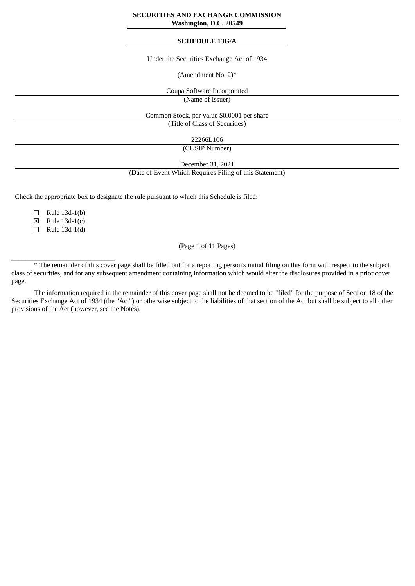### **SECURITIES AND EXCHANGE COMMISSION Washington, D.C. 20549**

## **SCHEDULE 13G/A**

Under the Securities Exchange Act of 1934

(Amendment No. 2)\*

Coupa Software Incorporated

(Name of Issuer)

Common Stock, par value \$0.0001 per share

(Title of Class of Securities)

22266L106

(CUSIP Number)

December 31, 2021

(Date of Event Which Requires Filing of this Statement)

Check the appropriate box to designate the rule pursuant to which this Schedule is filed:

 $\Box$  Rule 13d-1(b)

☒ Rule 13d-1(c)

☐ Rule 13d-1(d)

 $\_$ 

(Page 1 of 11 Pages)

\* The remainder of this cover page shall be filled out for a reporting person's initial filing on this form with respect to the subject class of securities, and for any subsequent amendment containing information which would alter the disclosures provided in a prior cover page.

The information required in the remainder of this cover page shall not be deemed to be "filed" for the purpose of Section 18 of the Securities Exchange Act of 1934 (the "Act") or otherwise subject to the liabilities of that section of the Act but shall be subject to all other provisions of the Act (however, see the Notes).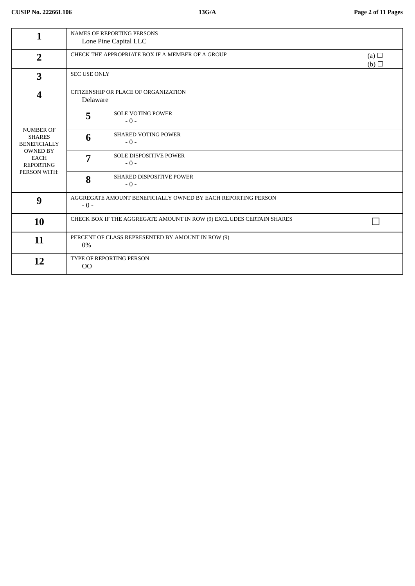| 1                                                                                                                              | <b>NAMES OF REPORTING PERSONS</b><br>Lone Pine Capital LLC            |                                        |                   |
|--------------------------------------------------------------------------------------------------------------------------------|-----------------------------------------------------------------------|----------------------------------------|-------------------|
| $\overline{2}$                                                                                                                 | CHECK THE APPROPRIATE BOX IF A MEMBER OF A GROUP                      |                                        | (a) $\Box$<br>(b) |
| 3                                                                                                                              | <b>SEC USE ONLY</b>                                                   |                                        |                   |
| $\overline{\mathbf{4}}$                                                                                                        | CITIZENSHIP OR PLACE OF ORGANIZATION<br>Delaware                      |                                        |                   |
|                                                                                                                                | 5                                                                     | <b>SOLE VOTING POWER</b><br>$-0-$      |                   |
| <b>NUMBER OF</b><br><b>SHARES</b><br><b>BENEFICIALLY</b><br><b>OWNED BY</b><br><b>EACH</b><br><b>REPORTING</b><br>PERSON WITH: | 6                                                                     | <b>SHARED VOTING POWER</b><br>$-0-$    |                   |
|                                                                                                                                | 7                                                                     | <b>SOLE DISPOSITIVE POWER</b><br>$-0-$ |                   |
|                                                                                                                                | 8                                                                     | SHARED DISPOSITIVE POWER<br>$-0-$      |                   |
| 9                                                                                                                              | AGGREGATE AMOUNT BENEFICIALLY OWNED BY EACH REPORTING PERSON<br>$-0-$ |                                        |                   |
| 10                                                                                                                             | CHECK BOX IF THE AGGREGATE AMOUNT IN ROW (9) EXCLUDES CERTAIN SHARES  |                                        |                   |
| 11                                                                                                                             | PERCENT OF CLASS REPRESENTED BY AMOUNT IN ROW (9)<br>$0\%$            |                                        |                   |
| 12                                                                                                                             | TYPE OF REPORTING PERSON<br>O <sub>O</sub>                            |                                        |                   |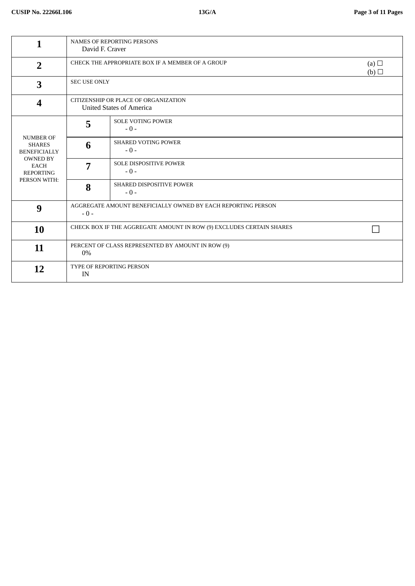|                                                                                                                                | <b>NAMES OF REPORTING PERSONS</b><br>David F. Craver                    |                                     |                   |
|--------------------------------------------------------------------------------------------------------------------------------|-------------------------------------------------------------------------|-------------------------------------|-------------------|
| $\overline{2}$                                                                                                                 | CHECK THE APPROPRIATE BOX IF A MEMBER OF A GROUP                        |                                     | (a) $\Box$<br>(b) |
| 3                                                                                                                              | SEC USE ONLY                                                            |                                     |                   |
| $\overline{\mathbf{4}}$                                                                                                        | CITIZENSHIP OR PLACE OF ORGANIZATION<br><b>United States of America</b> |                                     |                   |
|                                                                                                                                | 5                                                                       | <b>SOLE VOTING POWER</b><br>$-0-$   |                   |
| <b>NUMBER OF</b><br><b>SHARES</b><br><b>BENEFICIALLY</b><br><b>OWNED BY</b><br><b>EACH</b><br><b>REPORTING</b><br>PERSON WITH: | 6                                                                       | <b>SHARED VOTING POWER</b><br>$-0-$ |                   |
|                                                                                                                                | 7                                                                       | SOLE DISPOSITIVE POWER<br>$-0-$     |                   |
|                                                                                                                                | 8                                                                       | SHARED DISPOSITIVE POWER<br>$-0-$   |                   |
| 9                                                                                                                              | AGGREGATE AMOUNT BENEFICIALLY OWNED BY EACH REPORTING PERSON<br>$-0-$   |                                     |                   |
| 10                                                                                                                             | CHECK BOX IF THE AGGREGATE AMOUNT IN ROW (9) EXCLUDES CERTAIN SHARES    |                                     |                   |
| 11                                                                                                                             | PERCENT OF CLASS REPRESENTED BY AMOUNT IN ROW (9)<br>0%                 |                                     |                   |
| 12                                                                                                                             | TYPE OF REPORTING PERSON<br>IN                                          |                                     |                   |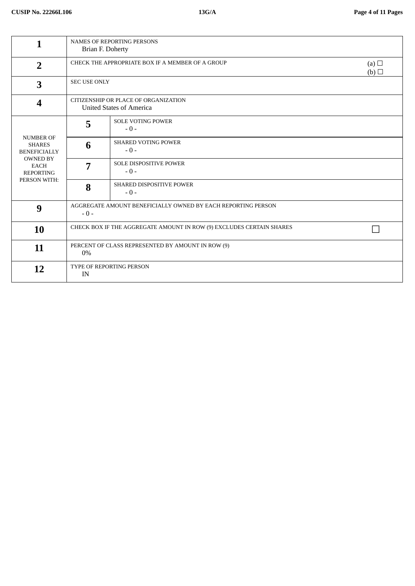|                                                                                                                                | <b>NAMES OF REPORTING PERSONS</b><br>Brian F. Doherty                   |                                     |                   |
|--------------------------------------------------------------------------------------------------------------------------------|-------------------------------------------------------------------------|-------------------------------------|-------------------|
| $\overline{2}$                                                                                                                 | CHECK THE APPROPRIATE BOX IF A MEMBER OF A GROUP                        |                                     | (a) $\Box$<br>(b) |
| 3                                                                                                                              | SEC USE ONLY                                                            |                                     |                   |
| $\overline{\mathbf{4}}$                                                                                                        | CITIZENSHIP OR PLACE OF ORGANIZATION<br><b>United States of America</b> |                                     |                   |
|                                                                                                                                | 5                                                                       | <b>SOLE VOTING POWER</b><br>$-0-$   |                   |
| <b>NUMBER OF</b><br><b>SHARES</b><br><b>BENEFICIALLY</b><br><b>OWNED BY</b><br><b>EACH</b><br><b>REPORTING</b><br>PERSON WITH: | 6                                                                       | <b>SHARED VOTING POWER</b><br>$-0-$ |                   |
|                                                                                                                                | 7                                                                       | SOLE DISPOSITIVE POWER<br>$-0-$     |                   |
|                                                                                                                                | 8                                                                       | SHARED DISPOSITIVE POWER<br>$-0-$   |                   |
| 9                                                                                                                              | AGGREGATE AMOUNT BENEFICIALLY OWNED BY EACH REPORTING PERSON<br>$-0-$   |                                     |                   |
| 10                                                                                                                             | CHECK BOX IF THE AGGREGATE AMOUNT IN ROW (9) EXCLUDES CERTAIN SHARES    |                                     |                   |
| 11                                                                                                                             | PERCENT OF CLASS REPRESENTED BY AMOUNT IN ROW (9)<br>0%                 |                                     |                   |
| 12                                                                                                                             | TYPE OF REPORTING PERSON<br>IN                                          |                                     |                   |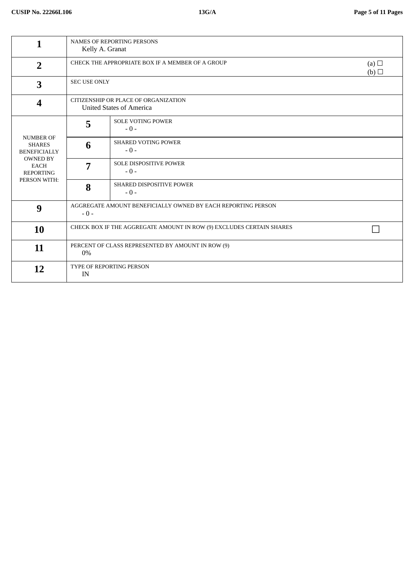|                                                                                                                                | <b>NAMES OF REPORTING PERSONS</b><br>Kelly A. Granat                    |                                     |                   |
|--------------------------------------------------------------------------------------------------------------------------------|-------------------------------------------------------------------------|-------------------------------------|-------------------|
| $\overline{2}$                                                                                                                 | CHECK THE APPROPRIATE BOX IF A MEMBER OF A GROUP                        |                                     | (a) $\Box$<br>(b) |
| 3                                                                                                                              | <b>SEC USE ONLY</b>                                                     |                                     |                   |
| $\overline{\mathbf{4}}$                                                                                                        | CITIZENSHIP OR PLACE OF ORGANIZATION<br><b>United States of America</b> |                                     |                   |
|                                                                                                                                | 5                                                                       | <b>SOLE VOTING POWER</b><br>$-0-$   |                   |
| <b>NUMBER OF</b><br><b>SHARES</b><br><b>BENEFICIALLY</b><br><b>OWNED BY</b><br><b>EACH</b><br><b>REPORTING</b><br>PERSON WITH: | 6                                                                       | <b>SHARED VOTING POWER</b><br>$-0-$ |                   |
|                                                                                                                                | 7                                                                       | SOLE DISPOSITIVE POWER<br>$-0-$     |                   |
|                                                                                                                                | 8                                                                       | SHARED DISPOSITIVE POWER<br>$-0-$   |                   |
| 9                                                                                                                              | AGGREGATE AMOUNT BENEFICIALLY OWNED BY EACH REPORTING PERSON<br>$-0-$   |                                     |                   |
| <b>10</b>                                                                                                                      | CHECK BOX IF THE AGGREGATE AMOUNT IN ROW (9) EXCLUDES CERTAIN SHARES    |                                     |                   |
| 11                                                                                                                             | PERCENT OF CLASS REPRESENTED BY AMOUNT IN ROW (9)<br>0%                 |                                     |                   |
| 12                                                                                                                             | TYPE OF REPORTING PERSON<br>IN                                          |                                     |                   |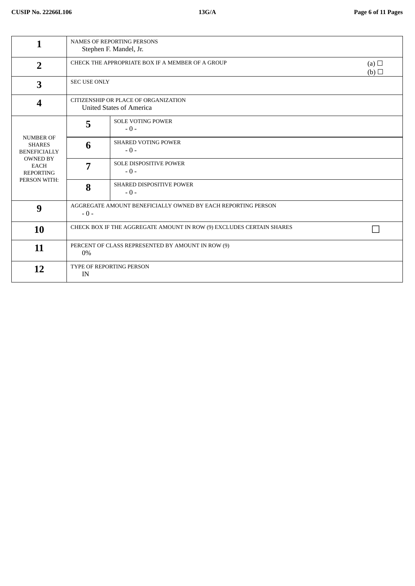| 1                                                                                                                              | <b>NAMES OF REPORTING PERSONS</b><br>Stephen F. Mandel, Jr.             |                                        |  |
|--------------------------------------------------------------------------------------------------------------------------------|-------------------------------------------------------------------------|----------------------------------------|--|
| $\overline{2}$                                                                                                                 | CHECK THE APPROPRIATE BOX IF A MEMBER OF A GROUP<br>(a) $\Box$<br>(b)   |                                        |  |
| 3                                                                                                                              | <b>SEC USE ONLY</b>                                                     |                                        |  |
| $\overline{\mathbf{4}}$                                                                                                        | CITIZENSHIP OR PLACE OF ORGANIZATION<br><b>United States of America</b> |                                        |  |
|                                                                                                                                | 5                                                                       | <b>SOLE VOTING POWER</b><br>$-0-$      |  |
| <b>NUMBER OF</b><br><b>SHARES</b><br><b>BENEFICIALLY</b><br><b>OWNED BY</b><br><b>EACH</b><br><b>REPORTING</b><br>PERSON WITH: | 6                                                                       | <b>SHARED VOTING POWER</b><br>$-0-$    |  |
|                                                                                                                                | 7                                                                       | <b>SOLE DISPOSITIVE POWER</b><br>$-0-$ |  |
|                                                                                                                                | 8                                                                       | SHARED DISPOSITIVE POWER<br>$-0-$      |  |
| 9                                                                                                                              | AGGREGATE AMOUNT BENEFICIALLY OWNED BY EACH REPORTING PERSON<br>$-0-$   |                                        |  |
| <b>10</b>                                                                                                                      | CHECK BOX IF THE AGGREGATE AMOUNT IN ROW (9) EXCLUDES CERTAIN SHARES    |                                        |  |
| 11                                                                                                                             | PERCENT OF CLASS REPRESENTED BY AMOUNT IN ROW (9)<br>0%                 |                                        |  |
| 12                                                                                                                             | TYPE OF REPORTING PERSON<br>IN                                          |                                        |  |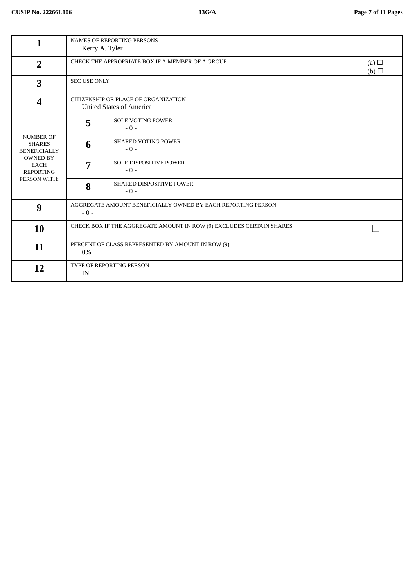|                                                                                                                                | <b>NAMES OF REPORTING PERSONS</b><br>Kerry A. Tyler                     |                                     |                   |
|--------------------------------------------------------------------------------------------------------------------------------|-------------------------------------------------------------------------|-------------------------------------|-------------------|
| $\overline{2}$                                                                                                                 | CHECK THE APPROPRIATE BOX IF A MEMBER OF A GROUP                        |                                     | (a) $\Box$<br>(b) |
| 3                                                                                                                              | <b>SEC USE ONLY</b>                                                     |                                     |                   |
| $\overline{\mathbf{4}}$                                                                                                        | CITIZENSHIP OR PLACE OF ORGANIZATION<br><b>United States of America</b> |                                     |                   |
|                                                                                                                                | 5                                                                       | <b>SOLE VOTING POWER</b><br>$-0-$   |                   |
| <b>NUMBER OF</b><br><b>SHARES</b><br><b>BENEFICIALLY</b><br><b>OWNED BY</b><br><b>EACH</b><br><b>REPORTING</b><br>PERSON WITH: | 6                                                                       | <b>SHARED VOTING POWER</b><br>$-0-$ |                   |
|                                                                                                                                | 7                                                                       | SOLE DISPOSITIVE POWER<br>$-0-$     |                   |
|                                                                                                                                | 8                                                                       | SHARED DISPOSITIVE POWER<br>$-0-$   |                   |
| 9                                                                                                                              | AGGREGATE AMOUNT BENEFICIALLY OWNED BY EACH REPORTING PERSON<br>$-0-$   |                                     |                   |
| 10                                                                                                                             | CHECK BOX IF THE AGGREGATE AMOUNT IN ROW (9) EXCLUDES CERTAIN SHARES    |                                     |                   |
| 11                                                                                                                             | PERCENT OF CLASS REPRESENTED BY AMOUNT IN ROW (9)<br>0%                 |                                     |                   |
| 12                                                                                                                             | TYPE OF REPORTING PERSON<br>IN                                          |                                     |                   |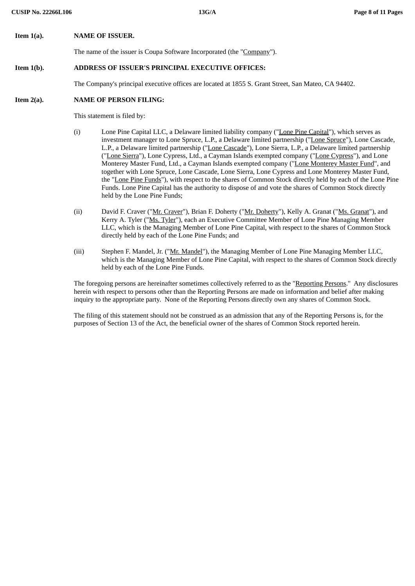**Item 1(a). NAME OF ISSUER.**

The name of the issuer is Coupa Software Incorporated (the "Company").

# **Item 1(b). ADDRESS OF ISSUER'S PRINCIPAL EXECUTIVE OFFICES:**

The Company's principal executive offices are located at 1855 S. Grant Street, San Mateo, CA 94402.

#### **Item 2(a). NAME OF PERSON FILING:**

This statement is filed by:

- (i) Lone Pine Capital LLC, a Delaware limited liability company ("Lone Pine Capital"), which serves as investment manager to Lone Spruce, L.P., a Delaware limited partnership ("Lone Spruce"), Lone Cascade, L.P., a Delaware limited partnership ("Lone Cascade"), Lone Sierra, L.P., a Delaware limited partnership ("Lone Sierra"), Lone Cypress, Ltd., a Cayman Islands exempted company ("Lone Cypress"), and Lone Monterey Master Fund, Ltd., a Cayman Islands exempted company ("Lone Monterey Master Fund", and together with Lone Spruce, Lone Cascade, Lone Sierra, Lone Cypress and Lone Monterey Master Fund, the "Lone Pine Funds"), with respect to the shares of Common Stock directly held by each of the Lone Pine Funds. Lone Pine Capital has the authority to dispose of and vote the shares of Common Stock directly held by the Lone Pine Funds;
- (ii) David F. Craver ("Mr. Craver"), Brian F. Doherty ("Mr. Doherty"), Kelly A. Granat ("Ms. Granat"), and Kerry A. Tyler ("Ms. Tyler"), each an Executive Committee Member of Lone Pine Managing Member LLC, which is the Managing Member of Lone Pine Capital, with respect to the shares of Common Stock directly held by each of the Lone Pine Funds; and
- (iii) Stephen F. Mandel, Jr. ("Mr. Mandel"), the Managing Member of Lone Pine Managing Member LLC, which is the Managing Member of Lone Pine Capital, with respect to the shares of Common Stock directly held by each of the Lone Pine Funds.

The foregoing persons are hereinafter sometimes collectively referred to as the "Reporting Persons." Any disclosures herein with respect to persons other than the Reporting Persons are made on information and belief after making inquiry to the appropriate party. None of the Reporting Persons directly own any shares of Common Stock.

The filing of this statement should not be construed as an admission that any of the Reporting Persons is, for the purposes of Section 13 of the Act, the beneficial owner of the shares of Common Stock reported herein.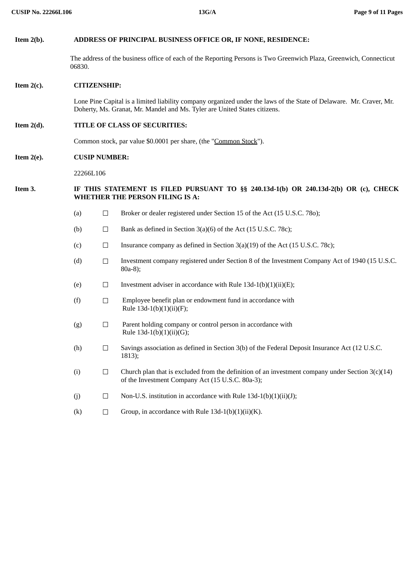# **Item 2(b). ADDRESS OF PRINCIPAL BUSINESS OFFICE OR, IF NONE, RESIDENCE:**

The address of the business office of each of the Reporting Persons is Two Greenwich Plaza, Greenwich, Connecticut 06830.

### **Item 2(c). CITIZENSHIP:**

Lone Pine Capital is a limited liability company organized under the laws of the State of Delaware. Mr. Craver, Mr. Doherty, Ms. Granat, Mr. Mandel and Ms. Tyler are United States citizens.

# **Item 2(d). TITLE OF CLASS OF SECURITIES:**

Common stock, par value \$0.0001 per share, (the "Common Stock").

# **Item 2(e). CUSIP NUMBER:**

22266L106

# **Item 3. IF THIS STATEMENT IS FILED PURSUANT TO §§ 240.13d-1(b) OR 240.13d-2(b) OR (c), CHECK WHETHER THE PERSON FILING IS A:**

- (a) □ Broker or dealer registered under Section 15 of the Act (15 U.S.C. 78o);
- (b) Bank as defined in Section  $3(a)(6)$  of the Act (15 U.S.C. 78c);
- (c)  $\Box$  Insurance company as defined in Section 3(a)(19) of the Act (15 U.S.C. 78c);
- (d) ☐ Investment company registered under Section 8 of the Investment Company Act of 1940 (15 U.S.C. 80a-8);
- (e)  $\Box$  Investment adviser in accordance with Rule 13d-1(b)(1)(ii)(E);
- $(f)$  Employee benefit plan or endowment fund in accordance with Rule  $13d-1(b)(1)(ii)(F);$
- $(g)$   $□$  Parent holding company or control person in accordance with Rule  $13d-1(b)(1)(ii)(G)$ ;
- (h)  $\Box$  Savings association as defined in Section 3(b) of the Federal Deposit Insurance Act (12 U.S.C. 1813);
- (i)  $\Box$  Church plan that is excluded from the definition of an investment company under Section 3(c)(14) of the Investment Company Act (15 U.S.C. 80a-3);
- (j) ☐ Non-U.S. institution in accordance with Rule 13d-1(b)(1)(ii)(J);
- (k)  $\Box$  Group, in accordance with Rule 13d-1(b)(1)(ii)(K).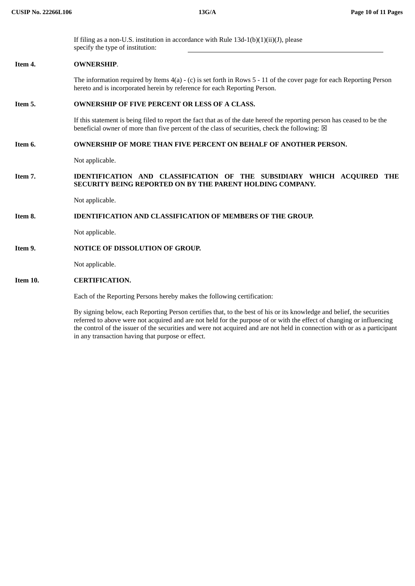**CUSIP No. 22266L106 13G/A Page 10 of 11 Pages** If filing as a non-U.S. institution in accordance with Rule  $13d-1(b)(1)(ii)(J)$ , please specify the type of institution: **Item 4. OWNERSHIP**. The information required by Items 4(a) - (c) is set forth in Rows 5 - 11 of the cover page for each Reporting Person hereto and is incorporated herein by reference for each Reporting Person. **Item 5. OWNERSHIP OF FIVE PERCENT OR LESS OF A CLASS.** If this statement is being filed to report the fact that as of the date hereof the reporting person has ceased to be the beneficial owner of more than five percent of the class of securities, check the following:  $\boxtimes$ **Item 6. OWNERSHIP OF MORE THAN FIVE PERCENT ON BEHALF OF ANOTHER PERSON.** Not applicable. **Item 7. IDENTIFICATION AND CLASSIFICATION OF THE SUBSIDIARY WHICH ACQUIRED THE SECURITY BEING REPORTED ON BY THE PARENT HOLDING COMPANY.** Not applicable. **Item 8. IDENTIFICATION AND CLASSIFICATION OF MEMBERS OF THE GROUP.** Not applicable. **Item 9. NOTICE OF DISSOLUTION OF GROUP.** Not applicable. **Item 10. CERTIFICATION.** Each of the Reporting Persons hereby makes the following certification:

> By signing below, each Reporting Person certifies that, to the best of his or its knowledge and belief, the securities referred to above were not acquired and are not held for the purpose of or with the effect of changing or influencing the control of the issuer of the securities and were not acquired and are not held in connection with or as a participant in any transaction having that purpose or effect.